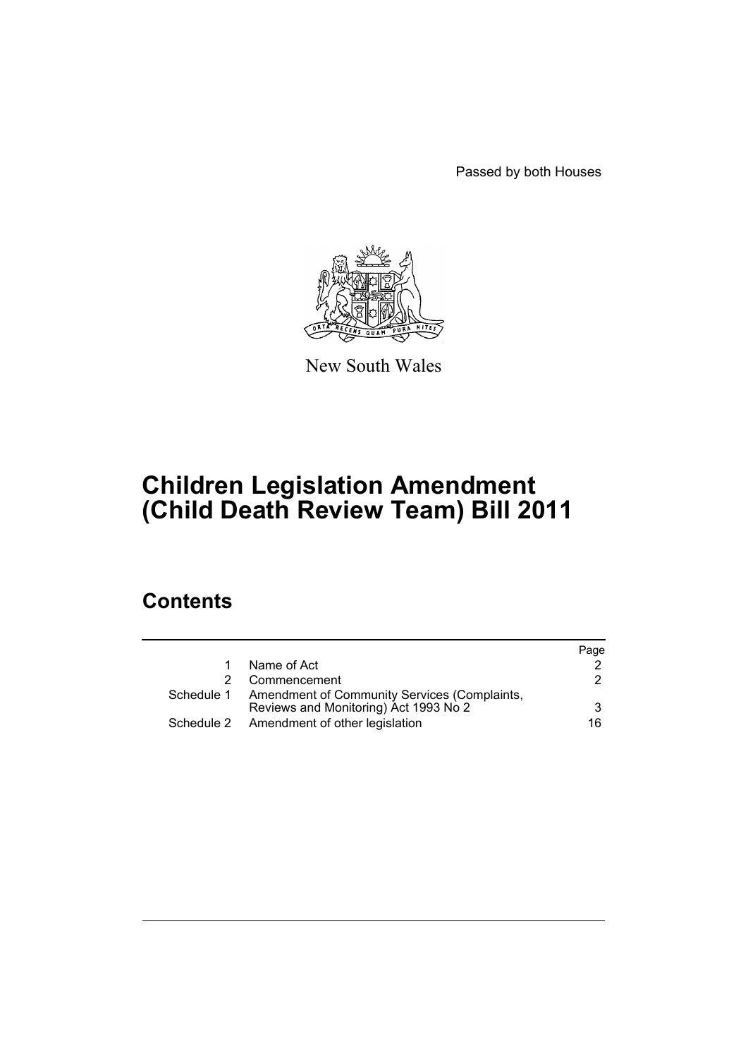Passed by both Houses



New South Wales

# **Children Legislation Amendment (Child Death Review Team) Bill 2011**

# **Contents**

|            |                                                                                       | Page |
|------------|---------------------------------------------------------------------------------------|------|
|            | Name of Act                                                                           |      |
|            | Commencement                                                                          | 2    |
| Schedule 1 | Amendment of Community Services (Complaints,<br>Reviews and Monitoring) Act 1993 No 2 | 3    |
|            | Schedule 2 Amendment of other legislation                                             | 16   |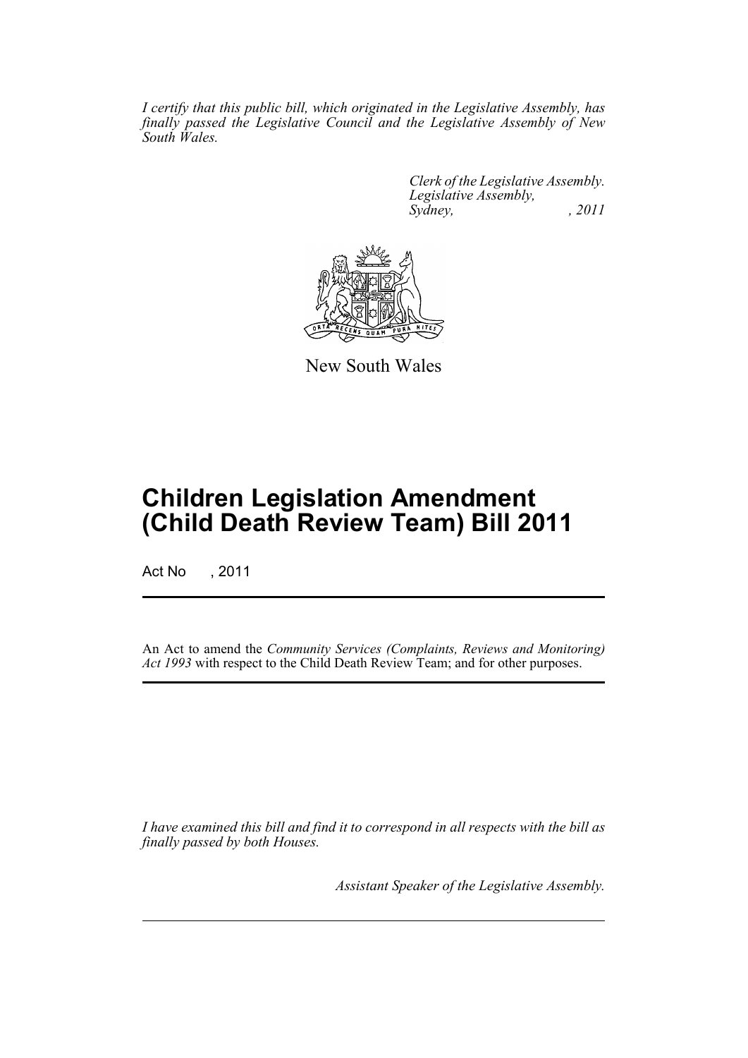*I certify that this public bill, which originated in the Legislative Assembly, has finally passed the Legislative Council and the Legislative Assembly of New South Wales.*

> *Clerk of the Legislative Assembly. Legislative Assembly, Sydney, , 2011*



New South Wales

# **Children Legislation Amendment (Child Death Review Team) Bill 2011**

Act No , 2011

An Act to amend the *Community Services (Complaints, Reviews and Monitoring) Act 1993* with respect to the Child Death Review Team; and for other purposes.

*I have examined this bill and find it to correspond in all respects with the bill as finally passed by both Houses.*

*Assistant Speaker of the Legislative Assembly.*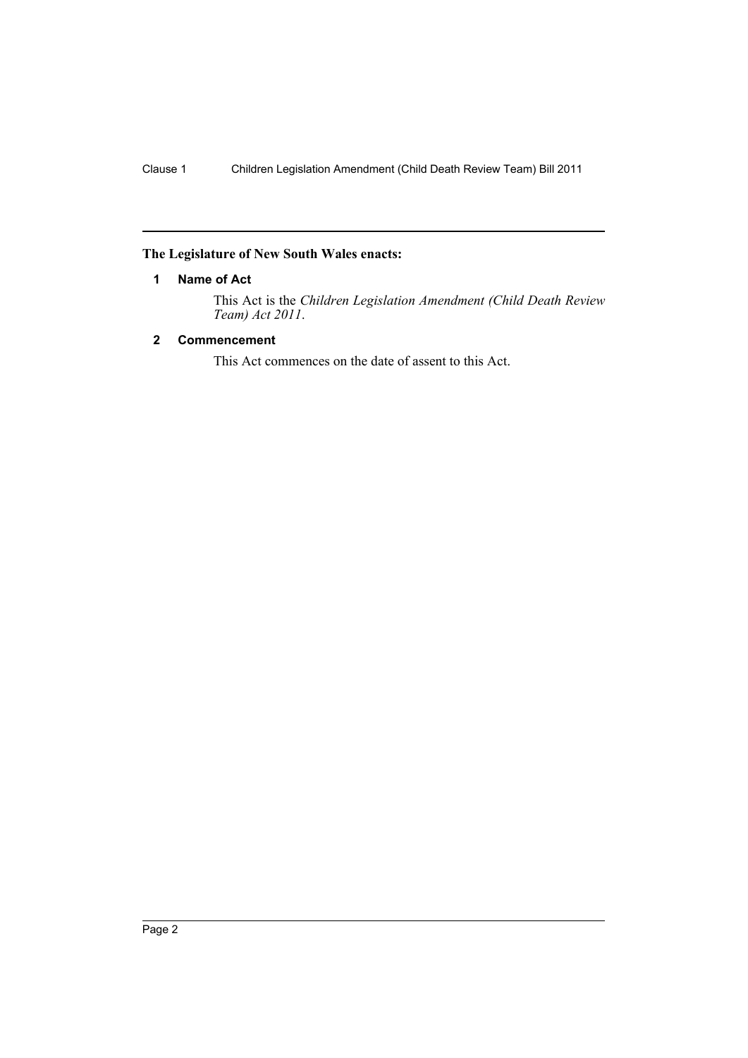### <span id="page-3-0"></span>**The Legislature of New South Wales enacts:**

### **1 Name of Act**

This Act is the *Children Legislation Amendment (Child Death Review Team) Act 2011*.

# <span id="page-3-1"></span>**2 Commencement**

This Act commences on the date of assent to this Act.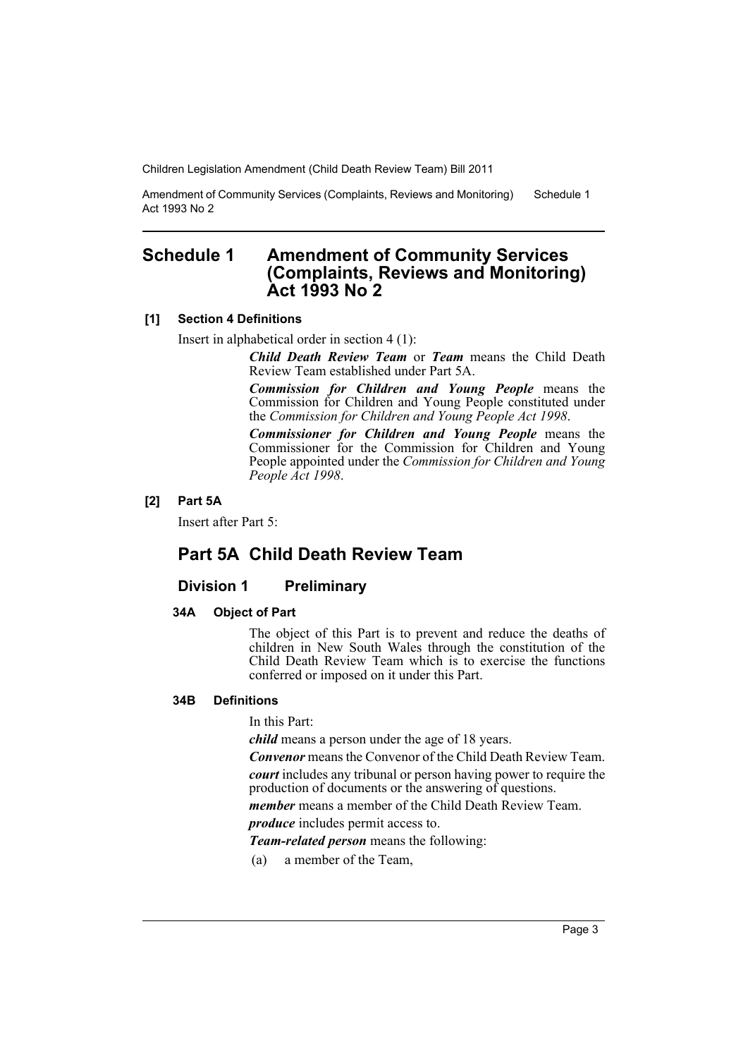Amendment of Community Services (Complaints, Reviews and Monitoring) Act 1993 No 2 Schedule 1

# <span id="page-4-0"></span>**Schedule 1 Amendment of Community Services (Complaints, Reviews and Monitoring) Act 1993 No 2**

### **[1] Section 4 Definitions**

Insert in alphabetical order in section 4 (1):

*Child Death Review Team* or *Team* means the Child Death Review Team established under Part 5A.

*Commission for Children and Young People* means the Commission for Children and Young People constituted under the *Commission for Children and Young People Act 1998*.

*Commissioner for Children and Young People* means the Commissioner for the Commission for Children and Young People appointed under the *Commission for Children and Young People Act 1998*.

### **[2] Part 5A**

Insert after Part 5:

# **Part 5A Child Death Review Team**

# **Division 1 Preliminary**

### **34A Object of Part**

The object of this Part is to prevent and reduce the deaths of children in New South Wales through the constitution of the Child Death Review Team which is to exercise the functions conferred or imposed on it under this Part.

#### **34B Definitions**

In this Part:

*child* means a person under the age of 18 years.

*Convenor* means the Convenor of the Child Death Review Team.

*court* includes any tribunal or person having power to require the production of documents or the answering of questions.

*member* means a member of the Child Death Review Team.

*produce* includes permit access to.

*Team-related person* means the following:

(a) a member of the Team,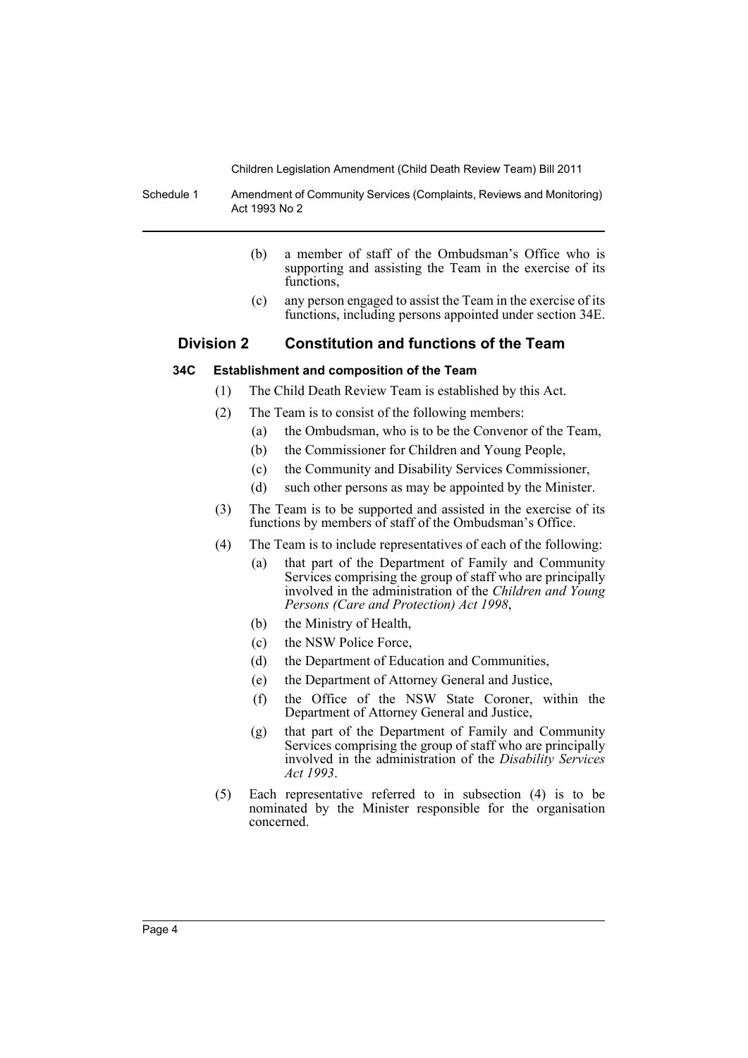Schedule 1 Amendment of Community Services (Complaints, Reviews and Monitoring) Act 1993 No 2

- (b) a member of staff of the Ombudsman's Office who is supporting and assisting the Team in the exercise of its functions.
- (c) any person engaged to assist the Team in the exercise of its functions, including persons appointed under section 34E.

# **Division 2 Constitution and functions of the Team**

### **34C Establishment and composition of the Team**

- (1) The Child Death Review Team is established by this Act.
- (2) The Team is to consist of the following members:
	- (a) the Ombudsman, who is to be the Convenor of the Team,
	- (b) the Commissioner for Children and Young People,
	- (c) the Community and Disability Services Commissioner,
	- (d) such other persons as may be appointed by the Minister.
- (3) The Team is to be supported and assisted in the exercise of its functions by members of staff of the Ombudsman's Office.
- (4) The Team is to include representatives of each of the following:
	- (a) that part of the Department of Family and Community Services comprising the group of staff who are principally involved in the administration of the *Children and Young Persons (Care and Protection) Act 1998*,
	- (b) the Ministry of Health,
	- (c) the NSW Police Force,
	- (d) the Department of Education and Communities,
	- (e) the Department of Attorney General and Justice,
	- (f) the Office of the NSW State Coroner, within the Department of Attorney General and Justice,
	- (g) that part of the Department of Family and Community Services comprising the group of staff who are principally involved in the administration of the *Disability Services Act 1993*.
- (5) Each representative referred to in subsection (4) is to be nominated by the Minister responsible for the organisation concerned.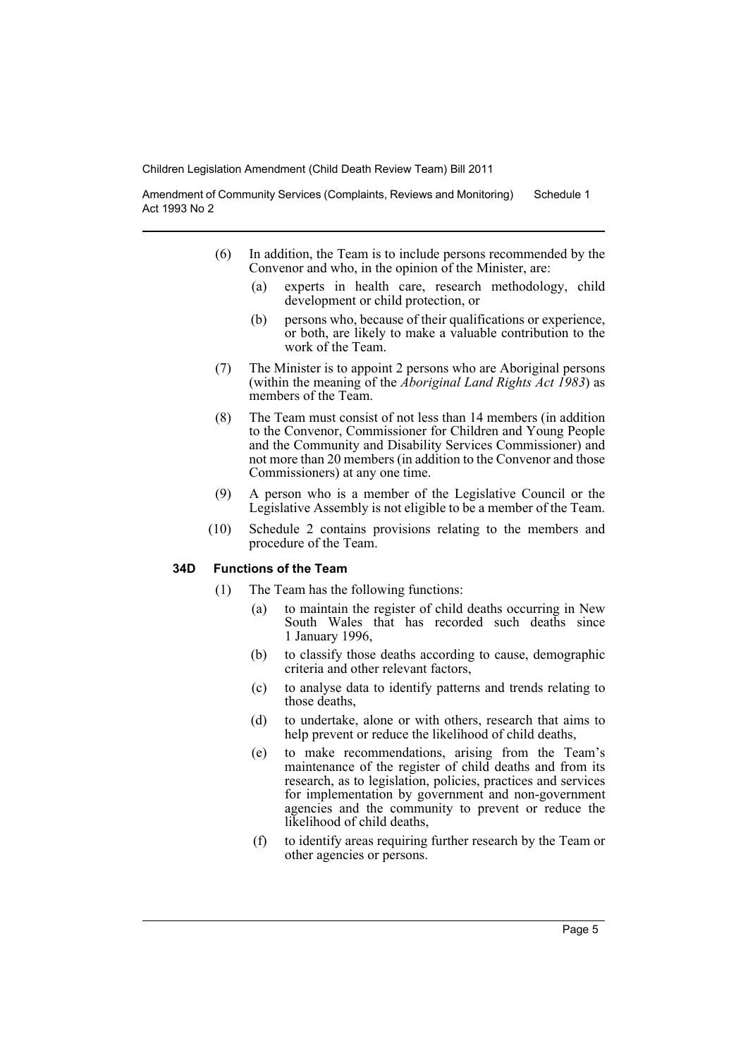Amendment of Community Services (Complaints, Reviews and Monitoring) Act 1993 No 2 Schedule 1

- (6) In addition, the Team is to include persons recommended by the Convenor and who, in the opinion of the Minister, are:
	- (a) experts in health care, research methodology, child development or child protection, or
	- (b) persons who, because of their qualifications or experience, or both, are likely to make a valuable contribution to the work of the Team.
- (7) The Minister is to appoint 2 persons who are Aboriginal persons (within the meaning of the *Aboriginal Land Rights Act 1983*) as members of the Team.
- (8) The Team must consist of not less than 14 members (in addition to the Convenor, Commissioner for Children and Young People and the Community and Disability Services Commissioner) and not more than 20 members (in addition to the Convenor and those Commissioners) at any one time.
- (9) A person who is a member of the Legislative Council or the Legislative Assembly is not eligible to be a member of the Team.
- (10) Schedule 2 contains provisions relating to the members and procedure of the Team.

### **34D Functions of the Team**

- (1) The Team has the following functions:
	- (a) to maintain the register of child deaths occurring in New South Wales that has recorded such deaths since 1 January 1996,
	- (b) to classify those deaths according to cause, demographic criteria and other relevant factors,
	- (c) to analyse data to identify patterns and trends relating to those deaths,
	- (d) to undertake, alone or with others, research that aims to help prevent or reduce the likelihood of child deaths,
	- (e) to make recommendations, arising from the Team's maintenance of the register of child deaths and from its research, as to legislation, policies, practices and services for implementation by government and non-government agencies and the community to prevent or reduce the likelihood of child deaths,
	- (f) to identify areas requiring further research by the Team or other agencies or persons.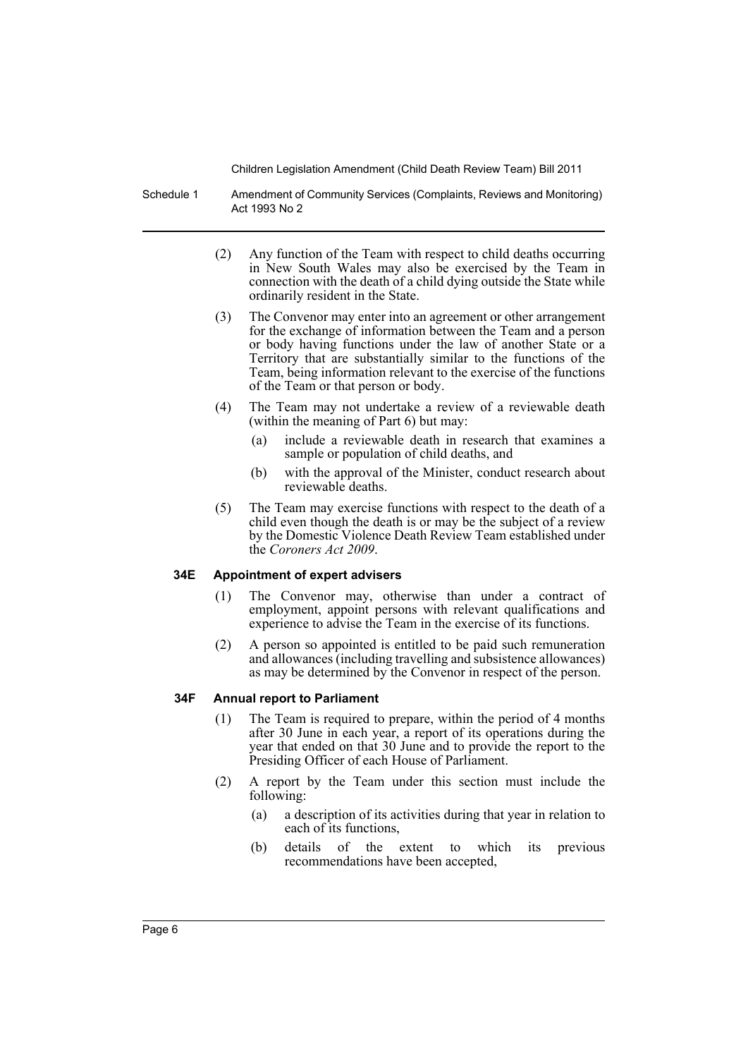Schedule 1 Amendment of Community Services (Complaints, Reviews and Monitoring) Act 1993 No 2

- (2) Any function of the Team with respect to child deaths occurring in New South Wales may also be exercised by the Team in connection with the death of a child dying outside the State while ordinarily resident in the State.
- (3) The Convenor may enter into an agreement or other arrangement for the exchange of information between the Team and a person or body having functions under the law of another State or a Territory that are substantially similar to the functions of the Team, being information relevant to the exercise of the functions of the Team or that person or body.
- (4) The Team may not undertake a review of a reviewable death (within the meaning of Part 6) but may:
	- (a) include a reviewable death in research that examines a sample or population of child deaths, and
	- (b) with the approval of the Minister, conduct research about reviewable deaths.
- (5) The Team may exercise functions with respect to the death of a child even though the death is or may be the subject of a review by the Domestic Violence Death Review Team established under the *Coroners Act 2009*.

### **34E Appointment of expert advisers**

- (1) The Convenor may, otherwise than under a contract of employment, appoint persons with relevant qualifications and experience to advise the Team in the exercise of its functions.
- (2) A person so appointed is entitled to be paid such remuneration and allowances (including travelling and subsistence allowances) as may be determined by the Convenor in respect of the person.

# **34F Annual report to Parliament**

- (1) The Team is required to prepare, within the period of 4 months after 30 June in each year, a report of its operations during the year that ended on that 30 June and to provide the report to the Presiding Officer of each House of Parliament.
- (2) A report by the Team under this section must include the following:
	- (a) a description of its activities during that year in relation to each of its functions,
	- (b) details of the extent to which its previous recommendations have been accepted,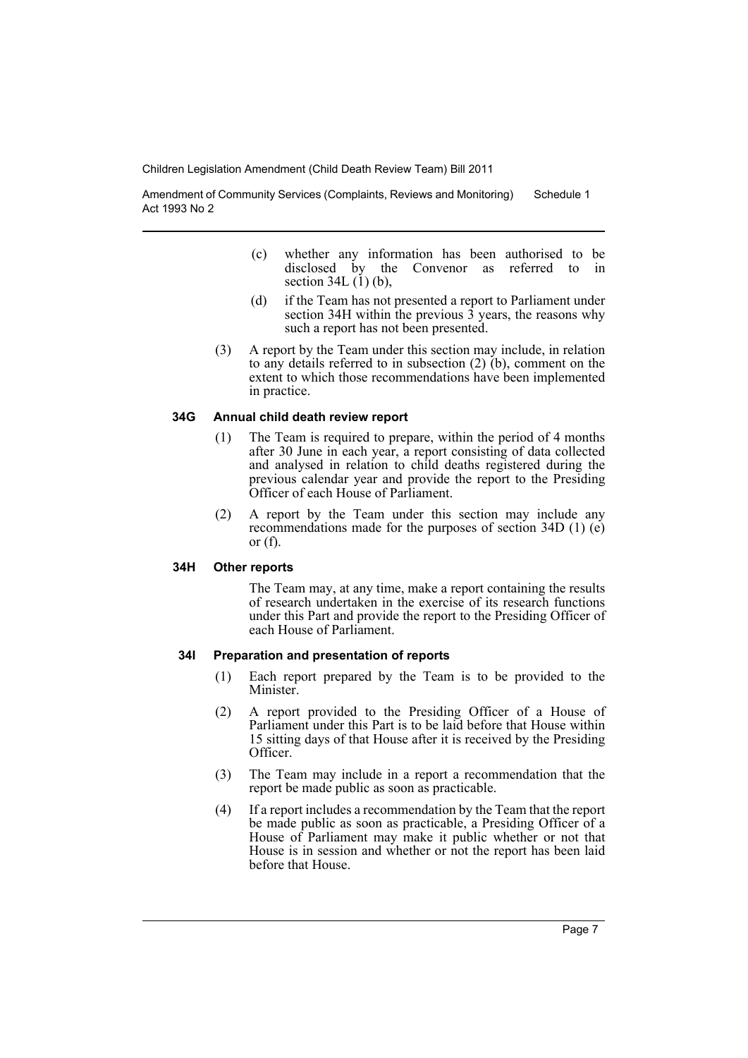Amendment of Community Services (Complaints, Reviews and Monitoring) Act 1993 No 2 Schedule 1

- (c) whether any information has been authorised to be disclosed by the Convenor as referred to section  $34L(1)(b)$ ,
- (d) if the Team has not presented a report to Parliament under section 34H within the previous  $\hat{3}$  years, the reasons why such a report has not been presented.
- (3) A report by the Team under this section may include, in relation to any details referred to in subsection (2) (b), comment on the extent to which those recommendations have been implemented in practice.

### **34G Annual child death review report**

- (1) The Team is required to prepare, within the period of 4 months after 30 June in each year, a report consisting of data collected and analysed in relation to child deaths registered during the previous calendar year and provide the report to the Presiding Officer of each House of Parliament.
- (2) A report by the Team under this section may include any recommendations made for the purposes of section 34D (1) (e) or  $(f)$ .

### **34H Other reports**

The Team may, at any time, make a report containing the results of research undertaken in the exercise of its research functions under this Part and provide the report to the Presiding Officer of each House of Parliament.

### **34I Preparation and presentation of reports**

- (1) Each report prepared by the Team is to be provided to the Minister.
- (2) A report provided to the Presiding Officer of a House of Parliament under this Part is to be laid before that House within 15 sitting days of that House after it is received by the Presiding Officer.
- (3) The Team may include in a report a recommendation that the report be made public as soon as practicable.
- (4) If a report includes a recommendation by the Team that the report be made public as soon as practicable, a Presiding Officer of a House of Parliament may make it public whether or not that House is in session and whether or not the report has been laid before that House.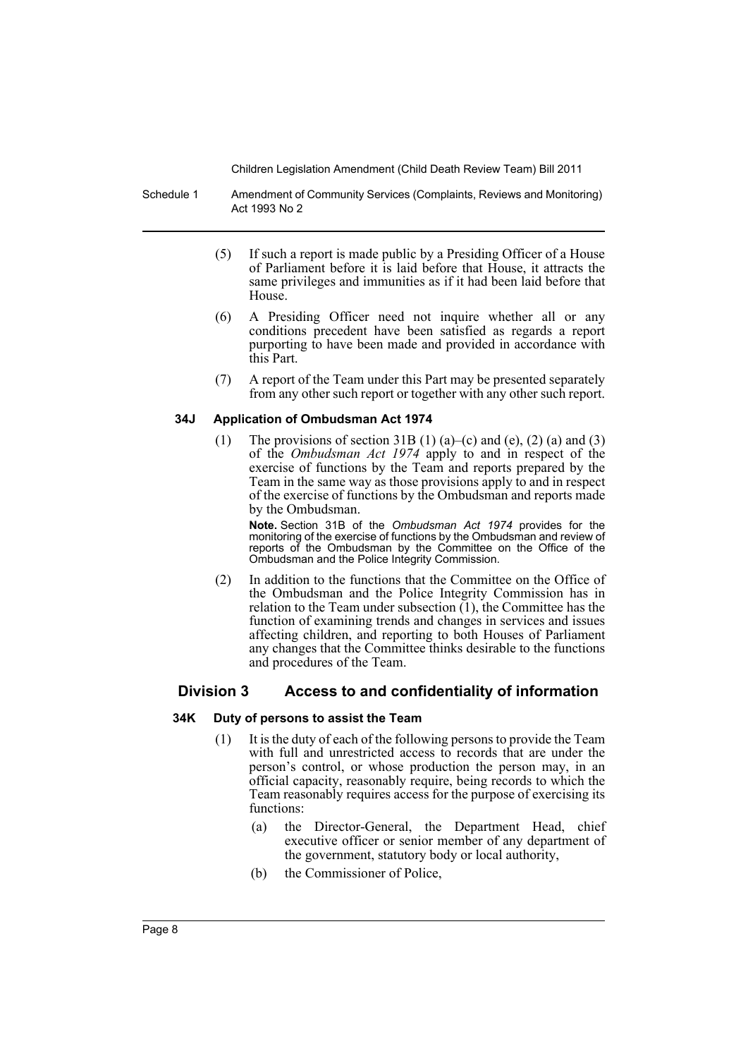Schedule 1 Amendment of Community Services (Complaints, Reviews and Monitoring) Act 1993 No 2

- (5) If such a report is made public by a Presiding Officer of a House of Parliament before it is laid before that House, it attracts the same privileges and immunities as if it had been laid before that House.
- (6) A Presiding Officer need not inquire whether all or any conditions precedent have been satisfied as regards a report purporting to have been made and provided in accordance with this Part.
- (7) A report of the Team under this Part may be presented separately from any other such report or together with any other such report.

### **34J Application of Ombudsman Act 1974**

(1) The provisions of section 31B (1) (a)–(c) and (e), (2) (a) and (3) of the *Ombudsman Act 1974* apply to and in respect of the exercise of functions by the Team and reports prepared by the Team in the same way as those provisions apply to and in respect of the exercise of functions by the Ombudsman and reports made by the Ombudsman.

**Note.** Section 31B of the *Ombudsman Act 1974* provides for the monitoring of the exercise of functions by the Ombudsman and review of reports of the Ombudsman by the Committee on the Office of the Ombudsman and the Police Integrity Commission.

(2) In addition to the functions that the Committee on the Office of the Ombudsman and the Police Integrity Commission has in relation to the Team under subsection  $(1)$ , the Committee has the function of examining trends and changes in services and issues affecting children, and reporting to both Houses of Parliament any changes that the Committee thinks desirable to the functions and procedures of the Team.

# **Division 3 Access to and confidentiality of information**

### **34K Duty of persons to assist the Team**

- (1) It is the duty of each of the following persons to provide the Team with full and unrestricted access to records that are under the person's control, or whose production the person may, in an official capacity, reasonably require, being records to which the Team reasonably requires access for the purpose of exercising its functions:
	- (a) the Director-General, the Department Head, chief executive officer or senior member of any department of the government, statutory body or local authority,
	- (b) the Commissioner of Police,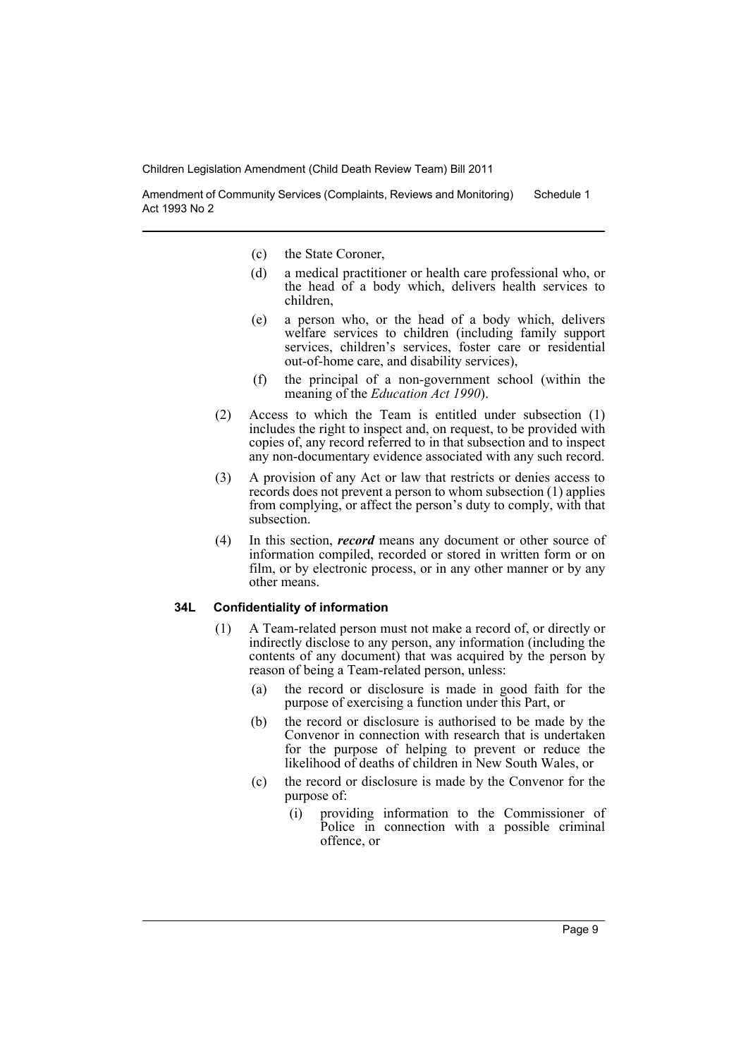Amendment of Community Services (Complaints, Reviews and Monitoring) Act 1993 No 2 Schedule 1

- (c) the State Coroner,
- (d) a medical practitioner or health care professional who, or the head of a body which, delivers health services to children,
- (e) a person who, or the head of a body which, delivers welfare services to children (including family support services, children's services, foster care or residential out-of-home care, and disability services),
- (f) the principal of a non-government school (within the meaning of the *Education Act 1990*).
- (2) Access to which the Team is entitled under subsection (1) includes the right to inspect and, on request, to be provided with copies of, any record referred to in that subsection and to inspect any non-documentary evidence associated with any such record.
- (3) A provision of any Act or law that restricts or denies access to records does not prevent a person to whom subsection (1) applies from complying, or affect the person's duty to comply, with that subsection.
- (4) In this section, *record* means any document or other source of information compiled, recorded or stored in written form or on film, or by electronic process, or in any other manner or by any other means.

### **34L Confidentiality of information**

- (1) A Team-related person must not make a record of, or directly or indirectly disclose to any person, any information (including the contents of any document) that was acquired by the person by reason of being a Team-related person, unless:
	- (a) the record or disclosure is made in good faith for the purpose of exercising a function under this Part, or
	- (b) the record or disclosure is authorised to be made by the Convenor in connection with research that is undertaken for the purpose of helping to prevent or reduce the likelihood of deaths of children in New South Wales, or
	- (c) the record or disclosure is made by the Convenor for the purpose of:
		- (i) providing information to the Commissioner of Police in connection with a possible criminal offence, or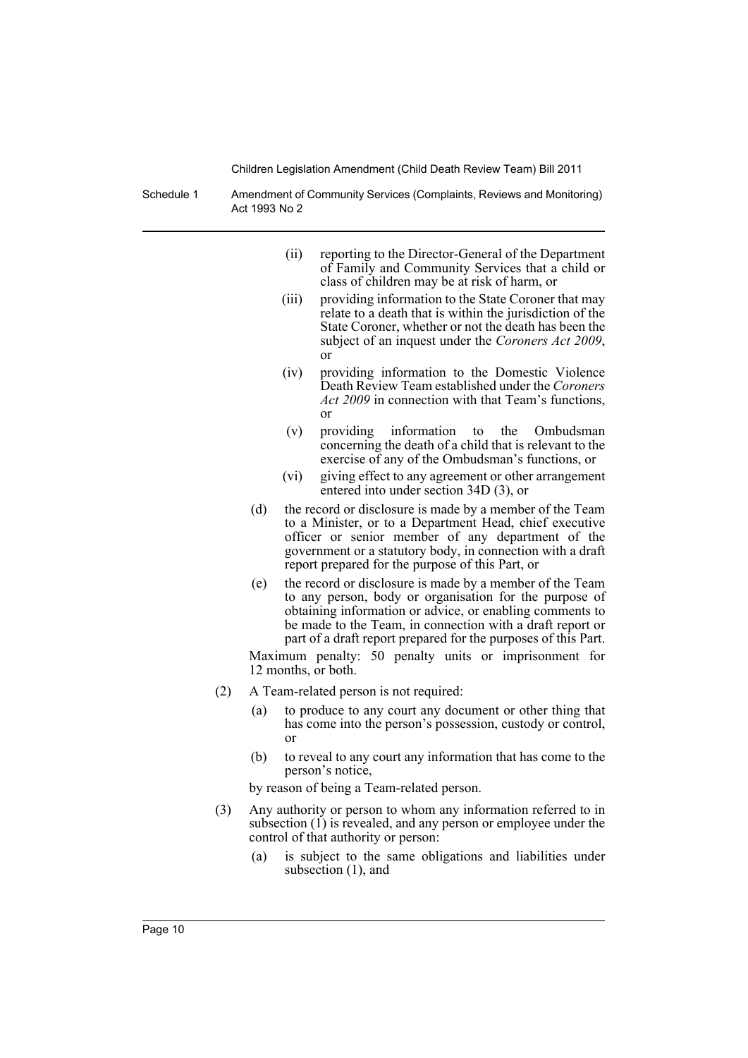Schedule 1 Amendment of Community Services (Complaints, Reviews and Monitoring) Act 1993 No 2

- (ii) reporting to the Director-General of the Department of Family and Community Services that a child or class of children may be at risk of harm, or
- (iii) providing information to the State Coroner that may relate to a death that is within the jurisdiction of the State Coroner, whether or not the death has been the subject of an inquest under the *Coroners Act 2009*, or
- (iv) providing information to the Domestic Violence Death Review Team established under the *Coroners Act 2009* in connection with that Team's functions, or
- (v) providing information to the Ombudsman concerning the death of a child that is relevant to the exercise of any of the Ombudsman's functions, or
- (vi) giving effect to any agreement or other arrangement entered into under section 34D (3), or
- (d) the record or disclosure is made by a member of the Team to a Minister, or to a Department Head, chief executive officer or senior member of any department of the government or a statutory body, in connection with a draft report prepared for the purpose of this Part, or
- (e) the record or disclosure is made by a member of the Team to any person, body or organisation for the purpose of obtaining information or advice, or enabling comments to be made to the Team, in connection with a draft report or part of a draft report prepared for the purposes of this Part.

Maximum penalty: 50 penalty units or imprisonment for 12 months, or both.

- (2) A Team-related person is not required:
	- (a) to produce to any court any document or other thing that has come into the person's possession, custody or control, or
	- (b) to reveal to any court any information that has come to the person's notice,

by reason of being a Team-related person.

- (3) Any authority or person to whom any information referred to in subsection  $(1)$  is revealed, and any person or employee under the control of that authority or person:
	- (a) is subject to the same obligations and liabilities under subsection (1), and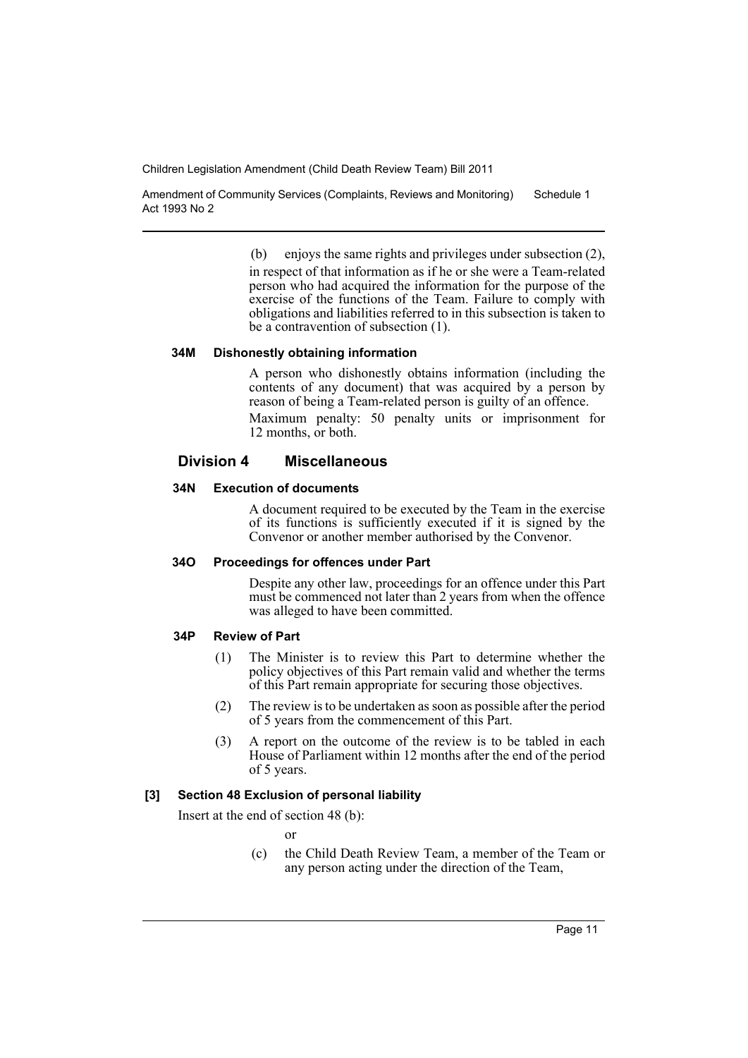Amendment of Community Services (Complaints, Reviews and Monitoring) Act 1993 No 2 Schedule 1

(b) enjoys the same rights and privileges under subsection (2),

in respect of that information as if he or she were a Team-related person who had acquired the information for the purpose of the exercise of the functions of the Team. Failure to comply with obligations and liabilities referred to in this subsection is taken to be a contravention of subsection (1).

### **34M Dishonestly obtaining information**

A person who dishonestly obtains information (including the contents of any document) that was acquired by a person by reason of being a Team-related person is guilty of an offence.

Maximum penalty: 50 penalty units or imprisonment for 12 months, or both.

# **Division 4 Miscellaneous**

# **34N Execution of documents**

A document required to be executed by the Team in the exercise of its functions is sufficiently executed if it is signed by the Convenor or another member authorised by the Convenor.

#### **34O Proceedings for offences under Part**

Despite any other law, proceedings for an offence under this Part must be commenced not later than 2 years from when the offence was alleged to have been committed.

### **34P Review of Part**

- (1) The Minister is to review this Part to determine whether the policy objectives of this Part remain valid and whether the terms of this Part remain appropriate for securing those objectives.
- (2) The review is to be undertaken as soon as possible after the period of 5 years from the commencement of this Part.
- (3) A report on the outcome of the review is to be tabled in each House of Parliament within 12 months after the end of the period of 5 years.

### **[3] Section 48 Exclusion of personal liability**

Insert at the end of section 48 (b):

or

(c) the Child Death Review Team, a member of the Team or any person acting under the direction of the Team,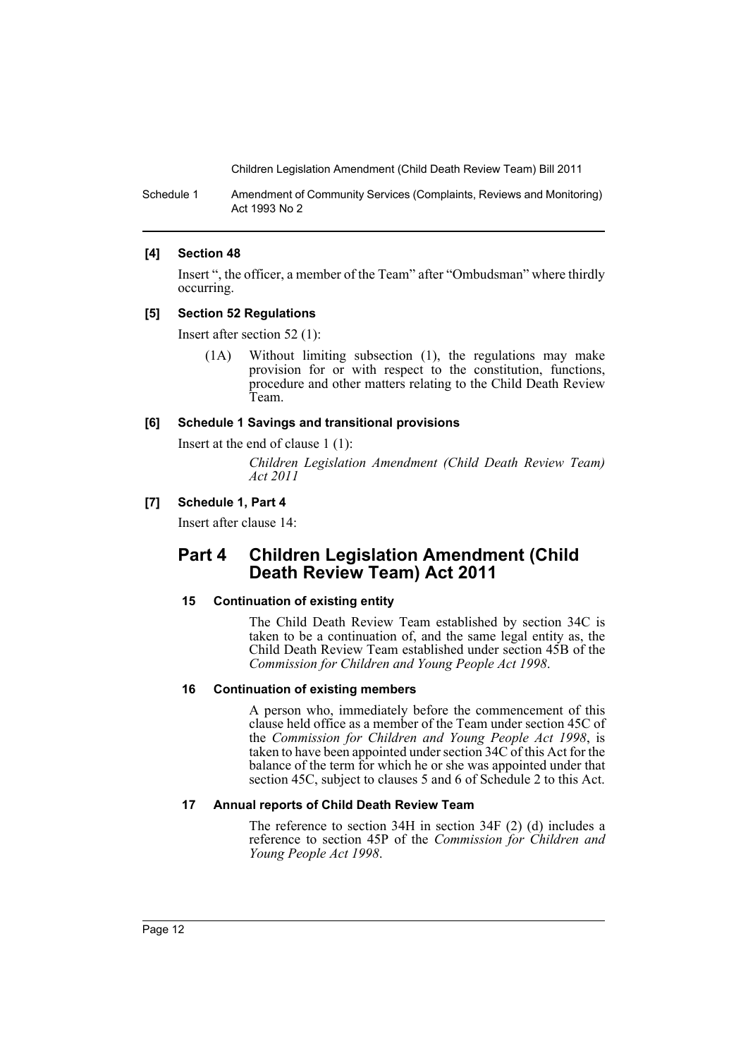Schedule 1 Amendment of Community Services (Complaints, Reviews and Monitoring) Act 1993 No 2

### **[4] Section 48**

Insert ", the officer, a member of the Team" after "Ombudsman" where thirdly occurring.

### **[5] Section 52 Regulations**

Insert after section 52 (1):

(1A) Without limiting subsection (1), the regulations may make provision for or with respect to the constitution, functions, procedure and other matters relating to the Child Death Review Team.

### **[6] Schedule 1 Savings and transitional provisions**

Insert at the end of clause 1 (1):

*Children Legislation Amendment (Child Death Review Team) Act 2011*

### **[7] Schedule 1, Part 4**

Insert after clause 14:

# **Part 4 Children Legislation Amendment (Child Death Review Team) Act 2011**

### **15 Continuation of existing entity**

The Child Death Review Team established by section 34C is taken to be a continuation of, and the same legal entity as, the Child Death Review Team established under section 45B of the *Commission for Children and Young People Act 1998*.

### **16 Continuation of existing members**

A person who, immediately before the commencement of this clause held office as a member of the Team under section 45C of the *Commission for Children and Young People Act 1998*, is taken to have been appointed under section 34C of this Act for the balance of the term for which he or she was appointed under that section 45C, subject to clauses 5 and 6 of Schedule 2 to this Act.

### **17 Annual reports of Child Death Review Team**

The reference to section 34H in section 34F (2) (d) includes a reference to section 45P of the *Commission for Children and Young People Act 1998*.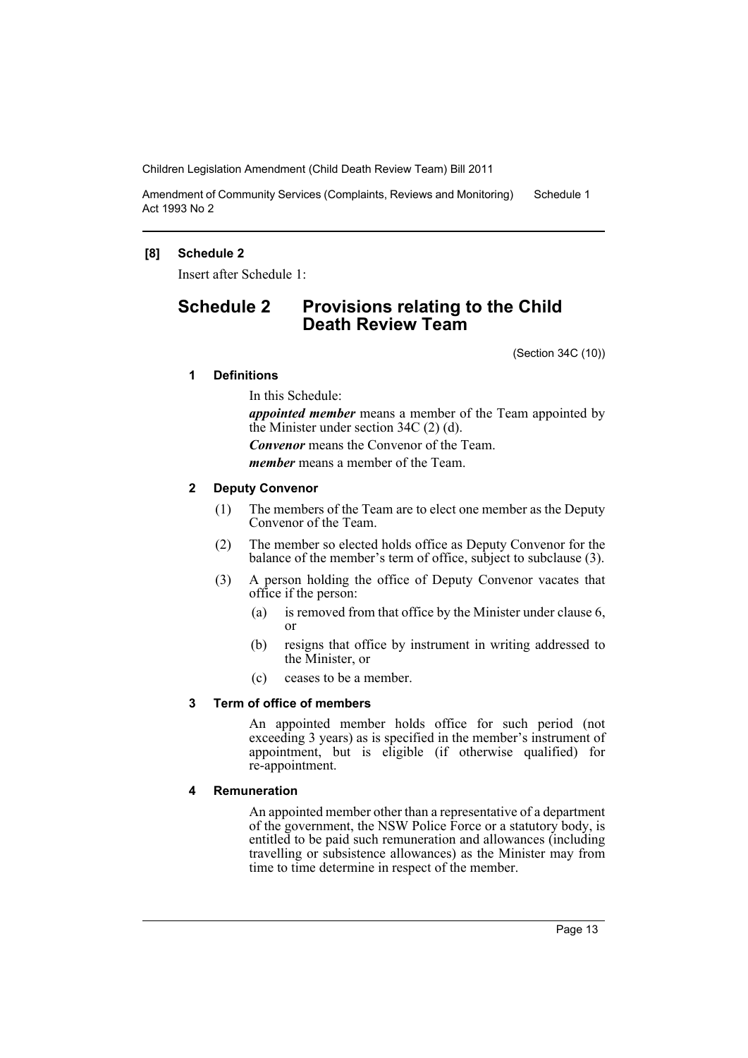Amendment of Community Services (Complaints, Reviews and Monitoring) Act 1993 No 2 Schedule 1

# **[8] Schedule 2**

Insert after Schedule 1:

# **Schedule 2 Provisions relating to the Child Death Review Team**

(Section 34C (10))

# **1 Definitions**

In this Schedule:

*appointed member* means a member of the Team appointed by the Minister under section 34C (2) (d). *Convenor* means the Convenor of the Team. *member* means a member of the Team.

# **2 Deputy Convenor**

- (1) The members of the Team are to elect one member as the Deputy Convenor of the Team.
- (2) The member so elected holds office as Deputy Convenor for the balance of the member's term of office, subject to subclause (3).
- (3) A person holding the office of Deputy Convenor vacates that office if the person:
	- (a) is removed from that office by the Minister under clause 6, or
	- (b) resigns that office by instrument in writing addressed to the Minister, or
	- (c) ceases to be a member.

# **3 Term of office of members**

An appointed member holds office for such period (not exceeding 3 years) as is specified in the member's instrument of appointment, but is eligible (if otherwise qualified) for re-appointment.

# **4 Remuneration**

An appointed member other than a representative of a department of the government, the NSW Police Force or a statutory body, is entitled to be paid such remuneration and allowances (including travelling or subsistence allowances) as the Minister may from time to time determine in respect of the member.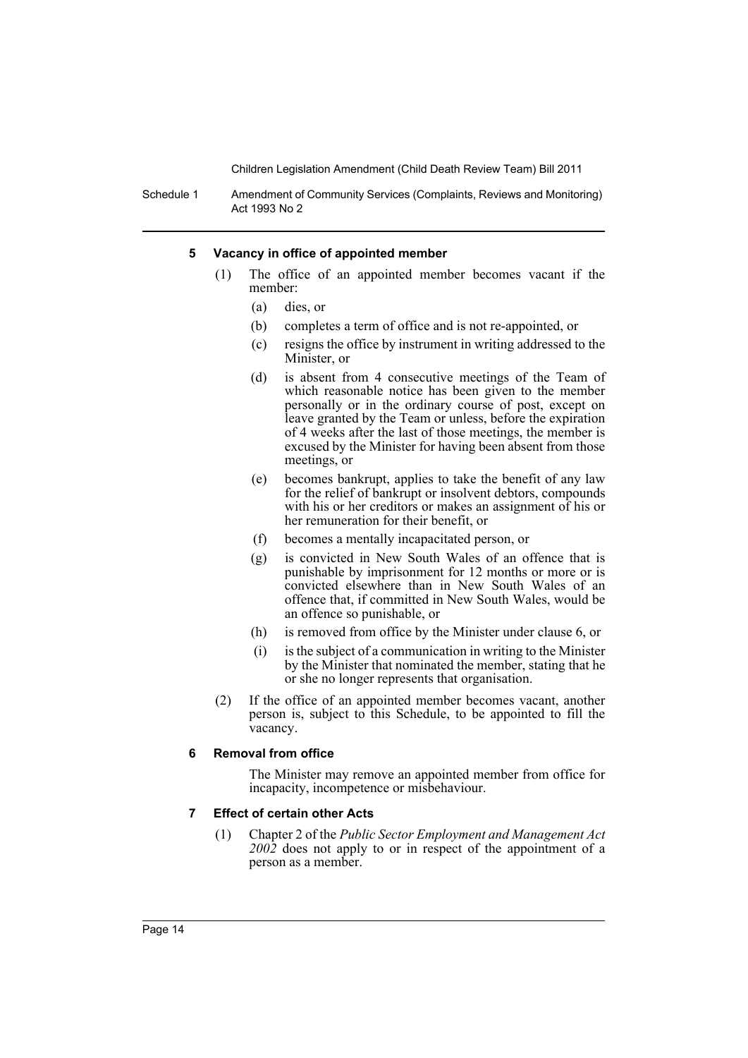Schedule 1 Amendment of Community Services (Complaints, Reviews and Monitoring) Act 1993 No 2

#### **5 Vacancy in office of appointed member**

- (1) The office of an appointed member becomes vacant if the member:
	- (a) dies, or
	- (b) completes a term of office and is not re-appointed, or
	- (c) resigns the office by instrument in writing addressed to the Minister, or
	- (d) is absent from 4 consecutive meetings of the Team of which reasonable notice has been given to the member personally or in the ordinary course of post, except on leave granted by the Team or unless, before the expiration of 4 weeks after the last of those meetings, the member is excused by the Minister for having been absent from those meetings, or
	- (e) becomes bankrupt, applies to take the benefit of any law for the relief of bankrupt or insolvent debtors, compounds with his or her creditors or makes an assignment of his or her remuneration for their benefit, or
	- (f) becomes a mentally incapacitated person, or
	- (g) is convicted in New South Wales of an offence that is punishable by imprisonment for 12 months or more or is convicted elsewhere than in New South Wales of an offence that, if committed in New South Wales, would be an offence so punishable, or
	- (h) is removed from office by the Minister under clause 6, or
	- (i) is the subject of a communication in writing to the Minister by the Minister that nominated the member, stating that he or she no longer represents that organisation.
- (2) If the office of an appointed member becomes vacant, another person is, subject to this Schedule, to be appointed to fill the vacancy.

### **6 Removal from office**

The Minister may remove an appointed member from office for incapacity, incompetence or misbehaviour.

#### **7 Effect of certain other Acts**

(1) Chapter 2 of the *Public Sector Employment and Management Act 2002* does not apply to or in respect of the appointment of a person as a member.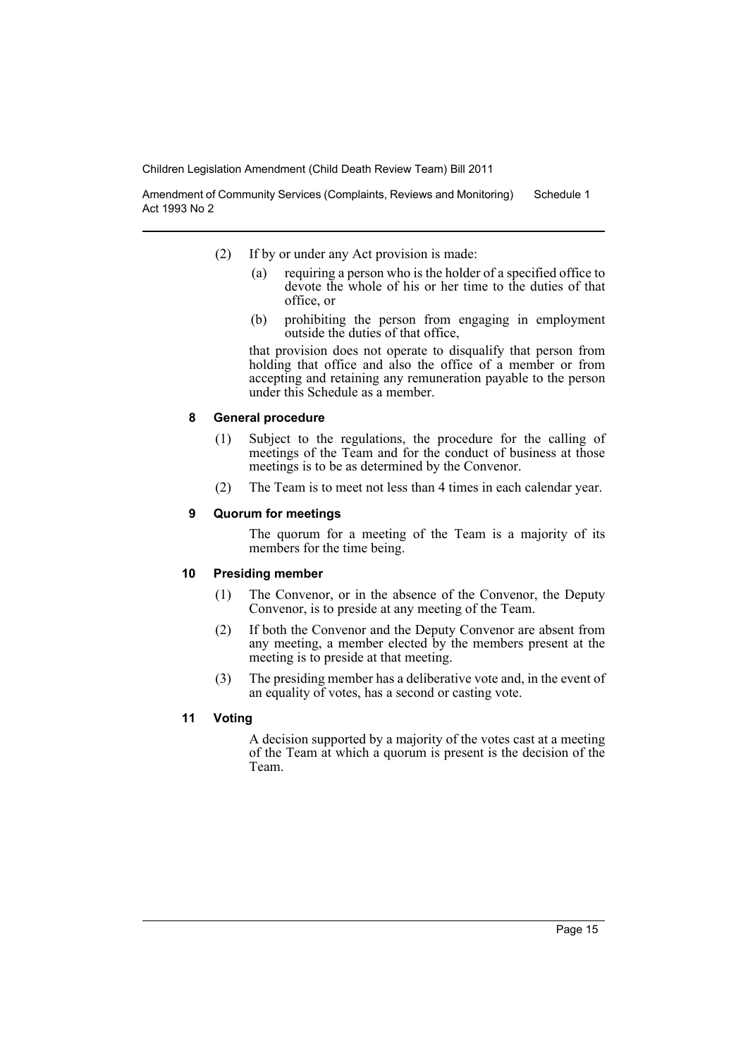Amendment of Community Services (Complaints, Reviews and Monitoring) Act 1993 No 2 Schedule 1

- (2) If by or under any Act provision is made:
	- (a) requiring a person who is the holder of a specified office to devote the whole of his or her time to the duties of that office, or
	- (b) prohibiting the person from engaging in employment outside the duties of that office,

that provision does not operate to disqualify that person from holding that office and also the office of a member or from accepting and retaining any remuneration payable to the person under this Schedule as a member.

### **8 General procedure**

- (1) Subject to the regulations, the procedure for the calling of meetings of the Team and for the conduct of business at those meetings is to be as determined by the Convenor.
- (2) The Team is to meet not less than 4 times in each calendar year.

### **9 Quorum for meetings**

The quorum for a meeting of the Team is a majority of its members for the time being.

### **10 Presiding member**

- (1) The Convenor, or in the absence of the Convenor, the Deputy Convenor, is to preside at any meeting of the Team.
- (2) If both the Convenor and the Deputy Convenor are absent from any meeting, a member elected by the members present at the meeting is to preside at that meeting.
- (3) The presiding member has a deliberative vote and, in the event of an equality of votes, has a second or casting vote.

### **11 Voting**

A decision supported by a majority of the votes cast at a meeting of the Team at which a quorum is present is the decision of the Team.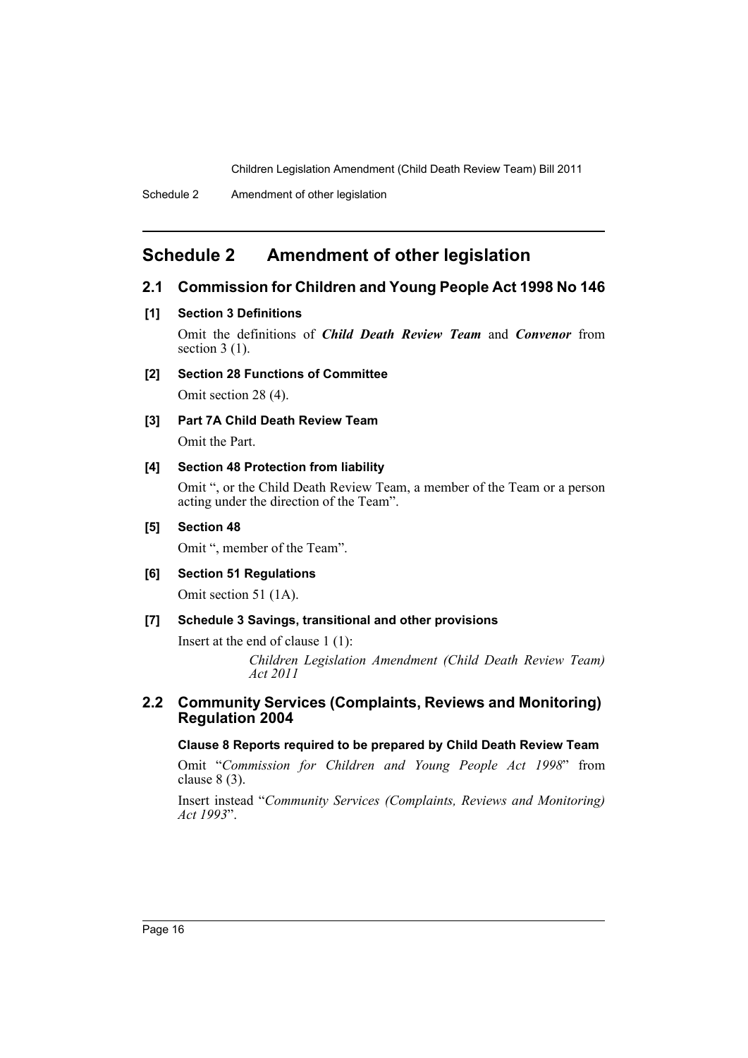# <span id="page-17-0"></span>**Schedule 2 Amendment of other legislation**

# **2.1 Commission for Children and Young People Act 1998 No 146**

### **[1] Section 3 Definitions**

Omit the definitions of *Child Death Review Team* and *Convenor* from section  $3(1)$ .

# **[2] Section 28 Functions of Committee**

Omit section 28 (4).

# **[3] Part 7A Child Death Review Team**

Omit the Part.

### **[4] Section 48 Protection from liability**

Omit ", or the Child Death Review Team, a member of the Team or a person acting under the direction of the Team".

### **[5] Section 48**

Omit ", member of the Team".

### **[6] Section 51 Regulations**

Omit section 51 (1A).

### **[7] Schedule 3 Savings, transitional and other provisions**

Insert at the end of clause 1 (1):

*Children Legislation Amendment (Child Death Review Team) Act 2011*

### **2.2 Community Services (Complaints, Reviews and Monitoring) Regulation 2004**

### **Clause 8 Reports required to be prepared by Child Death Review Team**

Omit "*Commission for Children and Young People Act 1998*" from clause 8 (3).

Insert instead "*Community Services (Complaints, Reviews and Monitoring) Act 1993*".